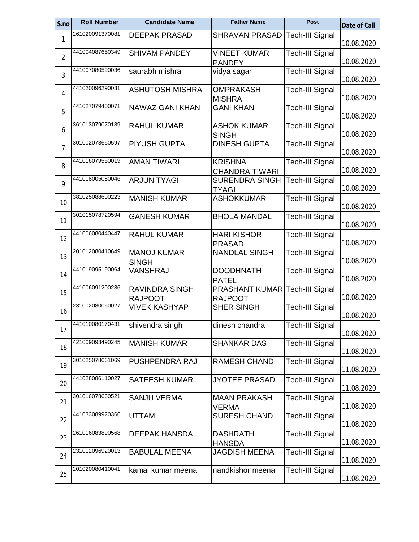| S.no           | <b>Roll Number</b> | <b>Candidate Name</b>                  | <b>Father Name</b>                  | <b>Post</b>            | <b>Date of Call</b> |
|----------------|--------------------|----------------------------------------|-------------------------------------|------------------------|---------------------|
| 1              | 261020091370081    | <b>DEEPAK PRASAD</b>                   | <b>SHRAVAN PRASAD</b>               | <b>Tech-III Signal</b> |                     |
|                |                    |                                        |                                     |                        | 10.08.2020          |
| $\overline{2}$ | 441004087650349    | <b>SHIVAM PANDEY</b>                   | <b>VINEET KUMAR</b>                 | <b>Tech-III Signal</b> |                     |
|                | 441007080590036    |                                        | <b>PANDEY</b>                       |                        | 10.08.2020          |
| 3              |                    | saurabh mishra                         | vidya sagar                         | <b>Tech-III Signal</b> | 10.08.2020          |
|                | 441020096290031    | <b>ASHUTOSH MISHRA</b>                 | <b>OMPRAKASH</b>                    | <b>Tech-III Signal</b> |                     |
| 4              |                    |                                        | <b>MISHRA</b>                       |                        | 10.08.2020          |
| 5              | 441027079400071    | <b>NAWAZ GANI KHAN</b>                 | <b>GANI KHAN</b>                    | <b>Tech-III Signal</b> |                     |
|                |                    |                                        |                                     |                        | 10.08.2020          |
| 6              | 361013079070189    | <b>RAHUL KUMAR</b>                     | <b>ASHOK KUMAR</b>                  | <b>Tech-III Signal</b> |                     |
|                | 301002078660597    |                                        | <b>SINGH</b>                        |                        | 10.08.2020          |
| 7              |                    | PIYUSH GUPTA                           | <b>DINESH GUPTA</b>                 | Tech-III Signal        | 10.08.2020          |
|                | 441016079550019    | <b>AMAN TIWARI</b>                     | <b>KRISHNA</b>                      | <b>Tech-III Signal</b> |                     |
| 8              |                    |                                        | <b>CHANDRA TIWARI</b>               |                        | 10.08.2020          |
| 9              | 441018005080046    | <b>ARJUN TYAGI</b>                     | <b>SURENDRA SINGH</b>               | <b>Tech-III Signal</b> |                     |
|                |                    |                                        | <b>TYAGI</b>                        |                        | 10.08.2020          |
| 10             | 381025088600223    | <b>MANISH KUMAR</b>                    | <b>ASHOKKUMAR</b>                   | <b>Tech-III Signal</b> |                     |
|                |                    |                                        |                                     |                        | 10.08.2020          |
| 11             | 301015078720594    | <b>GANESH KUMAR</b>                    | <b>BHOLA MANDAL</b>                 | <b>Tech-III Signal</b> | 10.08.2020          |
|                | 441006080440447    | <b>RAHUL KUMAR</b>                     | <b>HARI KISHOR</b>                  | Tech-III Signal        |                     |
| 12             |                    |                                        | <b>PRASAD</b>                       |                        | 10.08.2020          |
|                | 201012080410649    | <b>MANOJ KUMAR</b>                     | <b>NANDLAL SINGH</b>                | Tech-III Signal        |                     |
| 13             |                    | <b>SINGH</b>                           |                                     |                        | 10.08.2020          |
| 14             | 441019095190064    | VANSHRAJ                               | <b>DOODHNATH</b>                    | <b>Tech-III Signal</b> |                     |
|                |                    |                                        | <b>PATEL</b>                        |                        | 10.08.2020          |
| 15             | 441006091200286    | <b>RAVINDRA SINGH</b>                  | PRASHANT KUMAR                      | <b>Tech-III Signal</b> |                     |
|                | 231002080060027    | <b>RAJPOOT</b><br><b>VIVEK KASHYAP</b> | <b>RAJPOOT</b><br><b>SHER SINGH</b> |                        | 10.08.2020          |
| 16             |                    |                                        |                                     | <b>Tech-III Signal</b> | 10.08.2020          |
|                | 441010080170431    | shivendra singh                        | dinesh chandra                      | <b>Tech-III Signal</b> |                     |
| 17             |                    |                                        |                                     |                        | 10.08.2020          |
| 18             | 421009093490245    | <b>MANISH KUMAR</b>                    | <b>SHANKAR DAS</b>                  | <b>Tech-III Signal</b> |                     |
|                |                    |                                        |                                     |                        | 11.08.2020          |
| 19             | 301025078661069    | PUSHPENDRA RAJ                         | <b>RAMESH CHAND</b>                 | Tech-III Signal        |                     |
|                | 441028086110027    |                                        |                                     |                        | 11.08.2020          |
| 20             |                    | <b>SATEESH KUMAR</b>                   | <b>JYOTEE PRASAD</b>                | <b>Tech-III Signal</b> | 11.08.2020          |
|                | 301016078660521    | <b>SANJU VERMA</b>                     | <b>MAAN PRAKASH</b>                 | <b>Tech-III Signal</b> |                     |
| 21             |                    |                                        | VERMA                               |                        | 11.08.2020          |
| 22             | 441033089920366    | <b>UTTAM</b>                           | <b>SURESH CHAND</b>                 | <b>Tech-III Signal</b> |                     |
|                |                    |                                        |                                     |                        | 11.08.2020          |
| 23             | 261016083890568    | <b>DEEPAK HANSDA</b>                   | <b>DASHRATH</b>                     | <b>Tech-III Signal</b> |                     |
|                |                    |                                        | <b>HANSDA</b>                       |                        | 11.08.2020          |
| 24             | 231012096920013    | <b>BABULAL MEENA</b>                   | <b>JAGDISH MEENA</b>                | <b>Tech-III Signal</b> | 11.08.2020          |
|                | 201020080410041    | kamal kumar meena                      | nandkishor meena                    | Tech-III Signal        |                     |
| 25             |                    |                                        |                                     |                        | 11.08.2020          |